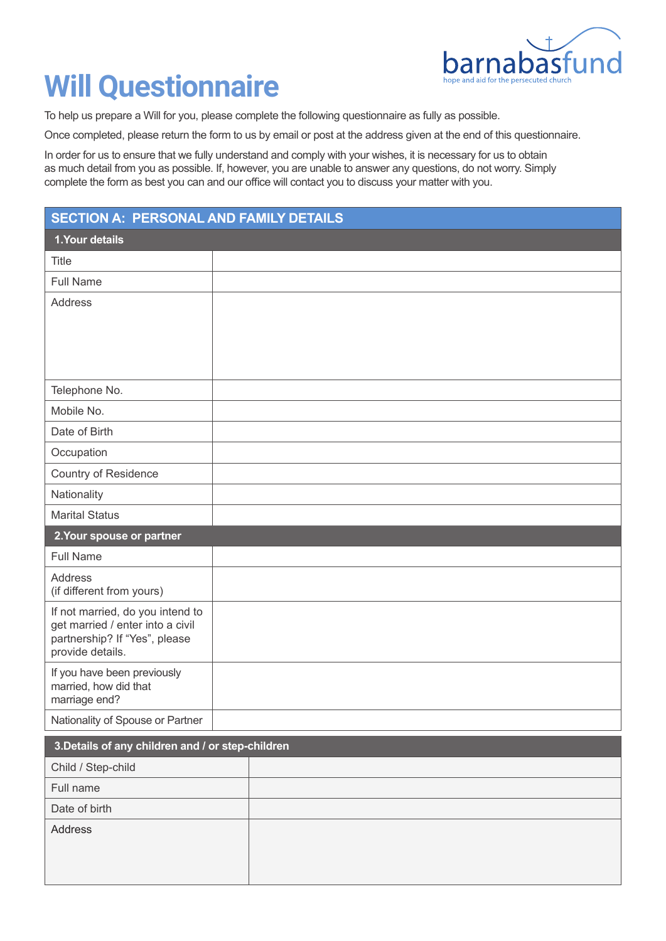

## **Will Questionnaire**

To help us prepare a Will for you, please complete the following questionnaire as fully as possible.

Once completed, please return the form to us by email or post at the address given at the end of this questionnaire.

In order for us to ensure that we fully understand and comply with your wishes, it is necessary for us to obtain as much detail from you as possible. If, however, you are unable to answer any questions, do not worry. Simply complete the form as best you can and our office will contact you to discuss your matter with you.

## **SECTION A: PERSONAL AND FAMILY DETAILS**

| 1. Your details                                                      |  |  |
|----------------------------------------------------------------------|--|--|
| Title                                                                |  |  |
| <b>Full Name</b>                                                     |  |  |
| Address                                                              |  |  |
|                                                                      |  |  |
|                                                                      |  |  |
|                                                                      |  |  |
| Telephone No.                                                        |  |  |
| Mobile No.                                                           |  |  |
| Date of Birth                                                        |  |  |
| Occupation                                                           |  |  |
| <b>Country of Residence</b>                                          |  |  |
| Nationality                                                          |  |  |
| <b>Marital Status</b>                                                |  |  |
| 2. Your spouse or partner                                            |  |  |
| <b>Full Name</b>                                                     |  |  |
| <b>Address</b><br>(if different from yours)                          |  |  |
| If not married, do you intend to<br>get married / enter into a civil |  |  |
| partnership? If "Yes", please                                        |  |  |
| provide details.                                                     |  |  |
| If you have been previously<br>married, how did that                 |  |  |
| marriage end?                                                        |  |  |
| Nationality of Spouse or Partner                                     |  |  |

| 3. Details of any children and / or step-children |  |
|---------------------------------------------------|--|
| Child / Step-child                                |  |
| Full name                                         |  |
| Date of birth                                     |  |
| Address                                           |  |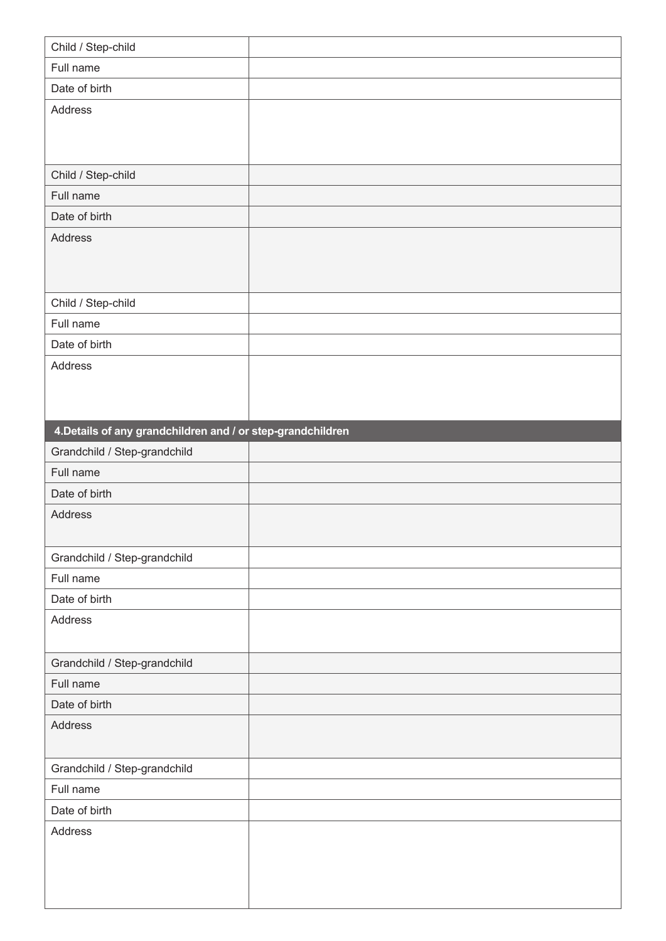| Child / Step-child                                          |  |
|-------------------------------------------------------------|--|
| Full name                                                   |  |
| Date of birth                                               |  |
| Address                                                     |  |
|                                                             |  |
|                                                             |  |
| Child / Step-child                                          |  |
| Full name                                                   |  |
| Date of birth                                               |  |
| Address                                                     |  |
|                                                             |  |
|                                                             |  |
|                                                             |  |
| Child / Step-child<br>Full name                             |  |
| Date of birth                                               |  |
| Address                                                     |  |
|                                                             |  |
|                                                             |  |
|                                                             |  |
| 4. Details of any grandchildren and / or step-grandchildren |  |
| Grandchild / Step-grandchild                                |  |
|                                                             |  |
| Full name                                                   |  |
| Date of birth                                               |  |
| Address                                                     |  |
|                                                             |  |
| Grandchild / Step-grandchild                                |  |
| Full name                                                   |  |
| Date of birth                                               |  |
| Address                                                     |  |
|                                                             |  |
| Grandchild / Step-grandchild                                |  |
| Full name                                                   |  |
| Date of birth                                               |  |
| Address                                                     |  |
|                                                             |  |
| Grandchild / Step-grandchild                                |  |
| Full name                                                   |  |
| Date of birth                                               |  |
| Address                                                     |  |
|                                                             |  |
|                                                             |  |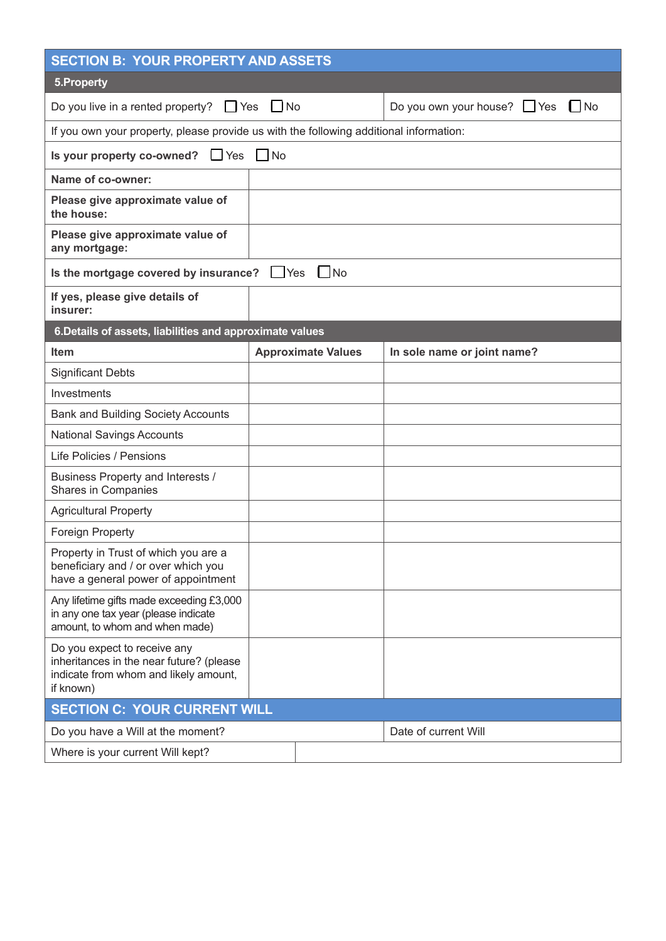| <b>SECTION B: YOUR PROPERTY AND ASSETS</b>                                                                                     |                           |                                            |
|--------------------------------------------------------------------------------------------------------------------------------|---------------------------|--------------------------------------------|
| 5. Property                                                                                                                    |                           |                                            |
| Do you live in a rented property? $\Box$ Yes                                                                                   | $\Box$ No                 | $\Box$ No<br>Do you own your house? If Yes |
| If you own your property, please provide us with the following additional information:                                         |                           |                                            |
| Is your property co-owned? $\Box$ Yes<br>No                                                                                    |                           |                                            |
| Name of co-owner:                                                                                                              |                           |                                            |
| Please give approximate value of<br>the house:                                                                                 |                           |                                            |
| Please give approximate value of<br>any mortgage:                                                                              |                           |                                            |
| $\Box$ No<br>Is the mortgage covered by insurance? Set                                                                         |                           |                                            |
| If yes, please give details of<br>insurer:                                                                                     |                           |                                            |
| 6. Details of assets, liabilities and approximate values                                                                       |                           |                                            |
| <b>Item</b>                                                                                                                    | <b>Approximate Values</b> | In sole name or joint name?                |
| <b>Significant Debts</b>                                                                                                       |                           |                                            |
| Investments                                                                                                                    |                           |                                            |
| <b>Bank and Building Society Accounts</b>                                                                                      |                           |                                            |
| <b>National Savings Accounts</b>                                                                                               |                           |                                            |
| Life Policies / Pensions                                                                                                       |                           |                                            |
| Business Property and Interests /<br><b>Shares in Companies</b>                                                                |                           |                                            |
| <b>Agricultural Property</b>                                                                                                   |                           |                                            |
| <b>Foreign Property</b>                                                                                                        |                           |                                            |
| Property in Trust of which you are a<br>beneficiary and / or over which you<br>have a general power of appointment             |                           |                                            |
| Any lifetime gifts made exceeding £3,000<br>in any one tax year (please indicate<br>amount, to whom and when made)             |                           |                                            |
| Do you expect to receive any<br>inheritances in the near future? (please<br>indicate from whom and likely amount,<br>if known) |                           |                                            |
| <b>SECTION C: YOUR CURRENT WILL</b>                                                                                            |                           |                                            |
| Do you have a Will at the moment?                                                                                              |                           | Date of current Will                       |
| Where is your current Will kept?                                                                                               |                           |                                            |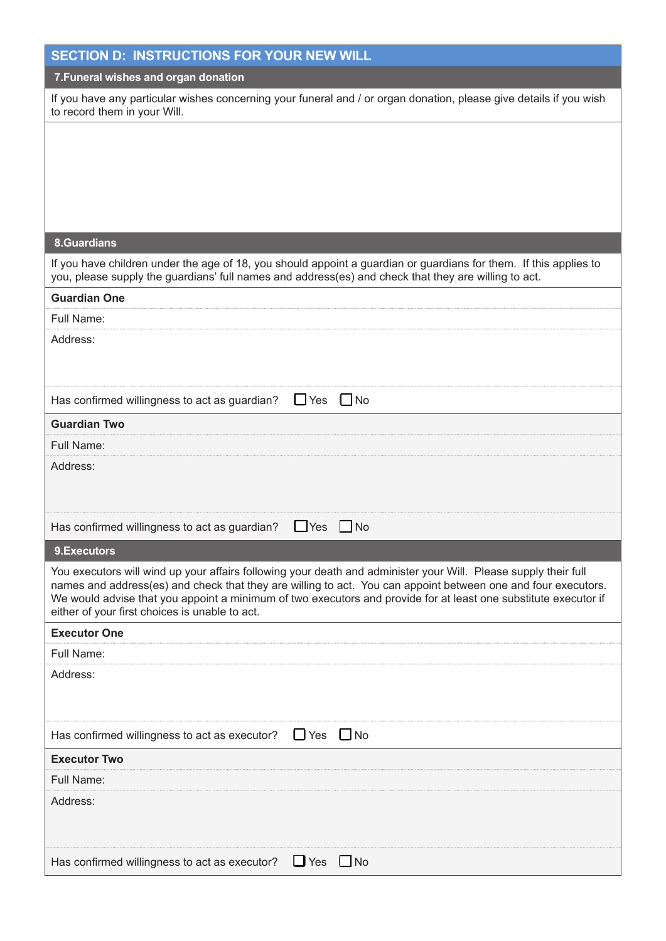| <b>SECTION D: INSTRUCTIONS FOR YOUR NEW WILL</b>                                                                                                                                                                                                                                                                                                                                                      |
|-------------------------------------------------------------------------------------------------------------------------------------------------------------------------------------------------------------------------------------------------------------------------------------------------------------------------------------------------------------------------------------------------------|
| 7. Funeral wishes and organ donation                                                                                                                                                                                                                                                                                                                                                                  |
| If you have any particular wishes concerning your funeral and / or organ donation, please give details if you wish<br>to record them in your Will.                                                                                                                                                                                                                                                    |
|                                                                                                                                                                                                                                                                                                                                                                                                       |
|                                                                                                                                                                                                                                                                                                                                                                                                       |
|                                                                                                                                                                                                                                                                                                                                                                                                       |
|                                                                                                                                                                                                                                                                                                                                                                                                       |
|                                                                                                                                                                                                                                                                                                                                                                                                       |
| <b>8.Guardians</b>                                                                                                                                                                                                                                                                                                                                                                                    |
| If you have children under the age of 18, you should appoint a guardian or guardians for them. If this applies to<br>you, please supply the guardians' full names and address(es) and check that they are willing to act.                                                                                                                                                                             |
| <b>Guardian One</b>                                                                                                                                                                                                                                                                                                                                                                                   |
| Full Name:                                                                                                                                                                                                                                                                                                                                                                                            |
| Address:                                                                                                                                                                                                                                                                                                                                                                                              |
|                                                                                                                                                                                                                                                                                                                                                                                                       |
|                                                                                                                                                                                                                                                                                                                                                                                                       |
| $\Box$ Yes<br>$\Box$ No<br>Has confirmed willingness to act as guardian?                                                                                                                                                                                                                                                                                                                              |
| <b>Guardian Two</b>                                                                                                                                                                                                                                                                                                                                                                                   |
| Full Name:                                                                                                                                                                                                                                                                                                                                                                                            |
| Address:                                                                                                                                                                                                                                                                                                                                                                                              |
|                                                                                                                                                                                                                                                                                                                                                                                                       |
|                                                                                                                                                                                                                                                                                                                                                                                                       |
| Has confirmed willingness to act as guardian?<br>$\Box$ Yes<br>$\Box$ No                                                                                                                                                                                                                                                                                                                              |
| 9.Executors                                                                                                                                                                                                                                                                                                                                                                                           |
| You executors will wind up your affairs following your death and administer your Will. Please supply their full<br>names and address(es) and check that they are willing to act. You can appoint between one and four executors.<br>We would advise that you appoint a minimum of two executors and provide for at least one substitute executor if<br>either of your first choices is unable to act. |
| <b>Executor One</b>                                                                                                                                                                                                                                                                                                                                                                                   |
| Full Name:                                                                                                                                                                                                                                                                                                                                                                                            |
| Address:                                                                                                                                                                                                                                                                                                                                                                                              |
|                                                                                                                                                                                                                                                                                                                                                                                                       |
| $\Box$ Yes $\Box$ No<br>Has confirmed willingness to act as executor?                                                                                                                                                                                                                                                                                                                                 |
| <b>Executor Two</b>                                                                                                                                                                                                                                                                                                                                                                                   |
| Full Name:                                                                                                                                                                                                                                                                                                                                                                                            |
| Address:                                                                                                                                                                                                                                                                                                                                                                                              |
|                                                                                                                                                                                                                                                                                                                                                                                                       |
|                                                                                                                                                                                                                                                                                                                                                                                                       |
| $\Box$ Yes $\Box$ No<br>Has confirmed willingness to act as executor?                                                                                                                                                                                                                                                                                                                                 |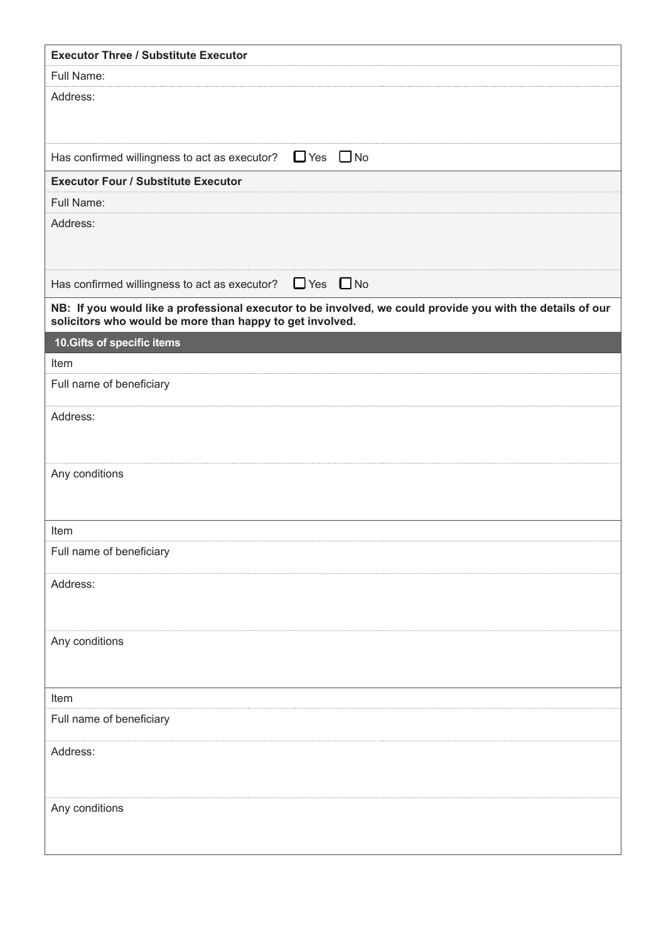| <b>Executor Three / Substitute Executor</b>                                                                                                                            |
|------------------------------------------------------------------------------------------------------------------------------------------------------------------------|
| Full Name:                                                                                                                                                             |
| Address:                                                                                                                                                               |
|                                                                                                                                                                        |
|                                                                                                                                                                        |
| $\Box$ Yes $\Box$ No<br>Has confirmed willingness to act as executor?                                                                                                  |
| <b>Executor Four / Substitute Executor</b>                                                                                                                             |
| Full Name:                                                                                                                                                             |
| Address:                                                                                                                                                               |
|                                                                                                                                                                        |
| Has confirmed willingness to act as executor? $\Box$ Yes $\Box$ No                                                                                                     |
| NB: If you would like a professional executor to be involved, we could provide you with the details of our<br>solicitors who would be more than happy to get involved. |
| 10. Gifts of specific items                                                                                                                                            |
| Item                                                                                                                                                                   |
| Full name of beneficiary                                                                                                                                               |
| Address:                                                                                                                                                               |
|                                                                                                                                                                        |
|                                                                                                                                                                        |
| Any conditions                                                                                                                                                         |
|                                                                                                                                                                        |
| Item                                                                                                                                                                   |
| Full name of beneficiary                                                                                                                                               |
| Address:                                                                                                                                                               |
|                                                                                                                                                                        |
|                                                                                                                                                                        |
| Any conditions                                                                                                                                                         |
|                                                                                                                                                                        |
| Item                                                                                                                                                                   |
| Full name of beneficiary                                                                                                                                               |
|                                                                                                                                                                        |
| Address:                                                                                                                                                               |
|                                                                                                                                                                        |
| Any conditions                                                                                                                                                         |
|                                                                                                                                                                        |
|                                                                                                                                                                        |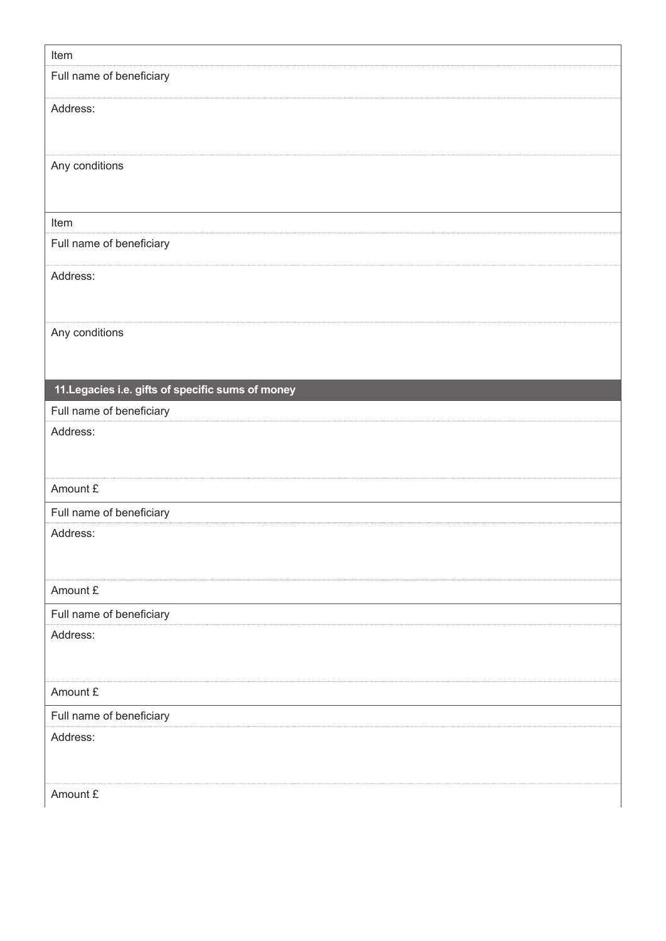| Item                                              |  |
|---------------------------------------------------|--|
| Full name of beneficiary                          |  |
| Address:                                          |  |
|                                                   |  |
|                                                   |  |
| Any conditions                                    |  |
|                                                   |  |
| Item                                              |  |
| Full name of beneficiary                          |  |
|                                                   |  |
| Address:                                          |  |
|                                                   |  |
|                                                   |  |
| Any conditions                                    |  |
|                                                   |  |
| 11. Legacies i.e. gifts of specific sums of money |  |
| Full name of beneficiary                          |  |
| Address:                                          |  |
|                                                   |  |
|                                                   |  |
| Amount £                                          |  |
| Full name of beneficiary                          |  |
| Address:                                          |  |
|                                                   |  |
| Amount £                                          |  |
| Full name of beneficiary                          |  |
| Address:                                          |  |
|                                                   |  |
|                                                   |  |
| Amount £                                          |  |
| Full name of beneficiary                          |  |
| Address:                                          |  |
|                                                   |  |
|                                                   |  |
| Amount £                                          |  |